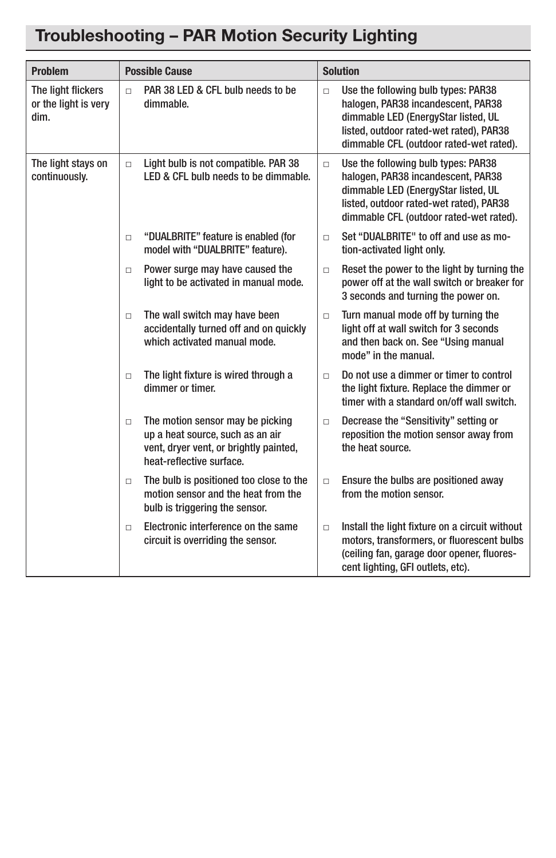## Troubleshooting – PAR Motion Security Lighting

| <b>Problem</b>                                     | <b>Possible Cause</b>                                                                                                                                | <b>Solution</b>                                                                                                                                                                                                  |
|----------------------------------------------------|------------------------------------------------------------------------------------------------------------------------------------------------------|------------------------------------------------------------------------------------------------------------------------------------------------------------------------------------------------------------------|
| The light flickers<br>or the light is very<br>dim. | PAR 38 LED & CFL bulb needs to be<br>$\Box$<br>dimmable.                                                                                             | Use the following bulb types: PAR38<br>$\Box$<br>halogen, PAR38 incandescent, PAR38<br>dimmable LED (EnergyStar listed, UL<br>listed, outdoor rated-wet rated), PAR38<br>dimmable CFL (outdoor rated-wet rated). |
| The light stays on<br>continuously.                | Light bulb is not compatible. PAR 38<br>$\Box$<br>LED & CFL bulb needs to be dimmable.                                                               | Use the following bulb types: PAR38<br>$\Box$<br>halogen, PAR38 incandescent, PAR38<br>dimmable LED (EnergyStar listed, UL<br>listed, outdoor rated-wet rated), PAR38<br>dimmable CFL (outdoor rated-wet rated). |
|                                                    | "DUALBRITE" feature is enabled (for<br>$\Box$<br>model with "DUALBRITE" feature).                                                                    | Set "DUALBRITE" to off and use as mo-<br>$\Box$<br>tion-activated light only.                                                                                                                                    |
|                                                    | Power surge may have caused the<br>$\Box$<br>light to be activated in manual mode.                                                                   | Reset the power to the light by turning the<br>$\Box$<br>power off at the wall switch or breaker for<br>3 seconds and turning the power on.                                                                      |
|                                                    | The wall switch may have been<br>$\Box$<br>accidentally turned off and on quickly<br>which activated manual mode.                                    | Turn manual mode off by turning the<br>$\Box$<br>light off at wall switch for 3 seconds<br>and then back on. See "Using manual<br>mode" in the manual.                                                           |
|                                                    | The light fixture is wired through a<br>$\Box$<br>dimmer or timer.                                                                                   | Do not use a dimmer or timer to control<br>$\Box$<br>the light fixture. Replace the dimmer or<br>timer with a standard on/off wall switch.                                                                       |
|                                                    | The motion sensor may be picking<br>$\Box$<br>up a heat source, such as an air<br>vent, dryer vent, or brightly painted,<br>heat-reflective surface. | Decrease the "Sensitivity" setting or<br>$\Box$<br>reposition the motion sensor away from<br>the heat source.                                                                                                    |
|                                                    | The bulb is positioned too close to the<br>$\Box$<br>motion sensor and the heat from the<br>bulb is triggering the sensor.                           | Ensure the bulbs are positioned away<br>$\Box$<br>from the motion sensor.                                                                                                                                        |
|                                                    | Electronic interference on the same<br>$\Box$<br>circuit is overriding the sensor.                                                                   | Install the light fixture on a circuit without<br>$\Box$<br>motors, transformers, or fluorescent bulbs<br>(ceiling fan, garage door opener, fluores-<br>cent lighting, GFI outlets, etc).                        |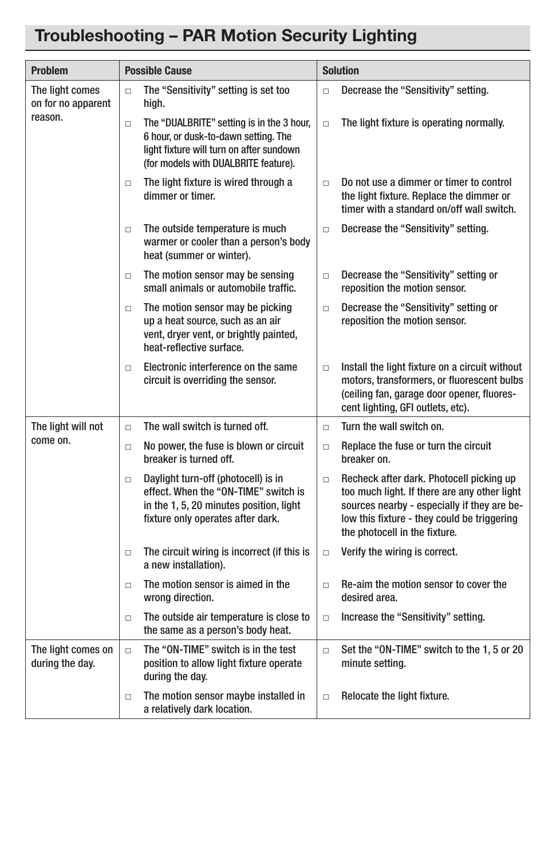## Troubleshooting – PAR Motion Security Lighting

| <b>Problem</b>                                   | <b>Possible Cause</b>                                                                                                                                                           | <b>Solution</b>                                                                                                                                                                                                                   |
|--------------------------------------------------|---------------------------------------------------------------------------------------------------------------------------------------------------------------------------------|-----------------------------------------------------------------------------------------------------------------------------------------------------------------------------------------------------------------------------------|
| The light comes<br>on for no apparent<br>reason. | The "Sensitivity" setting is set too<br>$\Box$<br>high.                                                                                                                         | Decrease the "Sensitivity" setting.<br>$\Box$                                                                                                                                                                                     |
|                                                  | The "DUALBRITE" setting is in the 3 hour,<br>$\Box$<br>6 hour, or dusk-to-dawn setting. The<br>light fixture will turn on after sundown<br>(for models with DUALBRITE feature). | The light fixture is operating normally.<br>$\Box$                                                                                                                                                                                |
|                                                  | The light fixture is wired through a<br>$\Box$<br>dimmer or timer.                                                                                                              | Do not use a dimmer or timer to control<br>$\Box$<br>the light fixture. Replace the dimmer or<br>timer with a standard on/off wall switch.                                                                                        |
|                                                  | The outside temperature is much<br>$\Box$<br>warmer or cooler than a person's body<br>heat (summer or winter).                                                                  | Decrease the "Sensitivity" setting.<br>$\Box$                                                                                                                                                                                     |
|                                                  | The motion sensor may be sensing<br>$\Box$<br>small animals or automobile traffic.                                                                                              | Decrease the "Sensitivity" setting or<br>$\Box$<br>reposition the motion sensor.                                                                                                                                                  |
|                                                  | The motion sensor may be picking<br>$\Box$<br>up a heat source, such as an air<br>vent, dryer vent, or brightly painted,<br>heat-reflective surface.                            | Decrease the "Sensitivity" setting or<br>$\Box$<br>reposition the motion sensor.                                                                                                                                                  |
|                                                  | Electronic interference on the same<br>$\Box$<br>circuit is overriding the sensor.                                                                                              | Install the light fixture on a circuit without<br>$\Box$<br>motors, transformers, or fluorescent bulbs<br>(ceiling fan, garage door opener, fluores-<br>cent lighting, GFI outlets, etc).                                         |
| The light will not                               | The wall switch is turned off.<br>$\Box$                                                                                                                                        | Turn the wall switch on.<br>$\Box$                                                                                                                                                                                                |
| come on.                                         | No power, the fuse is blown or circuit<br>$\Box$<br>breaker is turned off.                                                                                                      | Replace the fuse or turn the circuit<br>$\Box$<br>breaker on.                                                                                                                                                                     |
|                                                  | Daylight turn-off (photocell) is in<br>$\Box$<br>effect. When the "ON-TIME" switch is<br>in the 1, 5, 20 minutes position, light<br>fixture only operates after dark.           | Recheck after dark. Photocell picking up<br>$\Box$<br>too much light. If there are any other light<br>sources nearby - especially if they are be-<br>low this fixture - they could be triggering<br>the photocell in the fixture. |
|                                                  | The circuit wiring is incorrect (if this is<br>$\Box$<br>a new installation).                                                                                                   | Verify the wiring is correct.<br>$\Box$                                                                                                                                                                                           |
|                                                  | The motion sensor is aimed in the<br>$\Box$<br>wrong direction.                                                                                                                 | Re-aim the motion sensor to cover the<br>$\Box$<br>desired area.                                                                                                                                                                  |
|                                                  | The outside air temperature is close to<br>$\Box$<br>the same as a person's body heat.                                                                                          | Increase the "Sensitivity" setting.<br>$\Box$                                                                                                                                                                                     |
| The light comes on<br>during the day.            | The "ON-TIME" switch is in the test<br>$\Box$<br>position to allow light fixture operate<br>during the day.                                                                     | Set the "ON-TIME" switch to the 1, 5 or 20<br>$\Box$<br>minute setting.                                                                                                                                                           |
|                                                  | The motion sensor maybe installed in<br>$\Box$<br>a relatively dark location.                                                                                                   | Relocate the light fixture.<br>$\Box$                                                                                                                                                                                             |